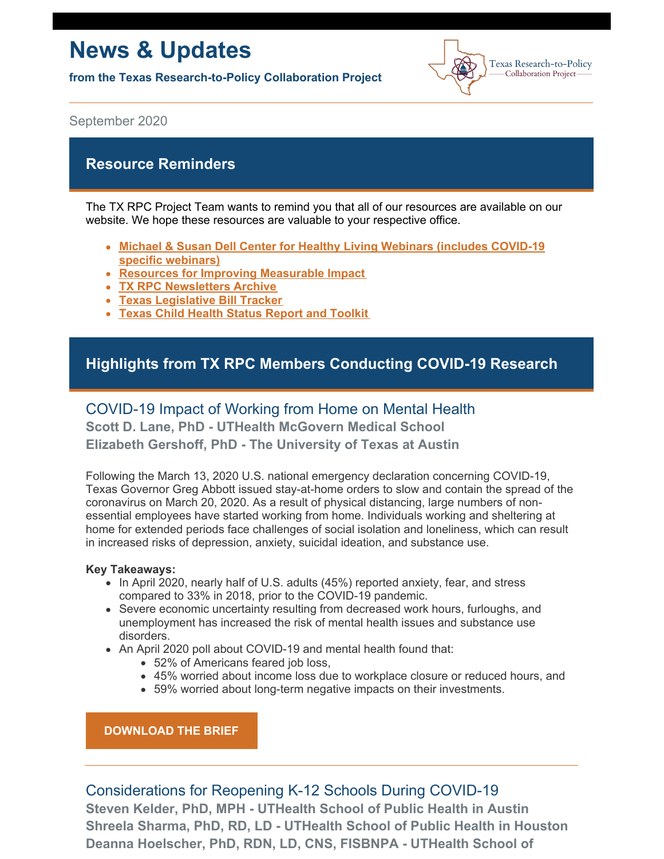# **News & Updates**

**from the Texas Research-to-Policy Collaboration Project**



September 2020

## **Resource Reminders**

The TX RPC Project Team wants to remind you that all of our resources are available on our [w](https://sph.uth.edu/research/centers/dell/webinars/)ebsite. We hope these resources are valuable to your respective office.

- **Michael & Susan Dell Center for Healthy Living [Webinars](https://sph.uth.edu/research/centers/dell/webinars/) (includes COVID-19 specific webinars)**
- **Resources for Improving [Measurable](https://sph.uth.edu/research/centers/dell/legislative-initiatives/texas-rpc-resources) Impact**
- **TX RPC [Newsletters](https://sph.uth.edu/research/centers/dell/legislative-initiatives/rpc-newsletters) Archive**
- **Texas [Legislative](https://sph.uth.edu/research/centers/dell/86th-texas-legislature/) Bill Tracker**
- **Texas Child Health Status Report and [Toolkit](https://sph.uth.edu/research/centers/dell/texas-child-health-status-report/index.htm)**

# **Highlights from TX RPC Members Conducting COVID-19 Research**

## COVID-19 Impact of Working from Home on Mental Health

**Scott D. Lane, PhD - UTHealth McGovern Medical School Elizabeth Gershoff, PhD - The University of Texas at Austin**

Following the March 13, 2020 U.S. national emergency declaration concerning COVID-19, Texas Governor Greg Abbott issued stay-at-home orders to slow and contain the spread of the coronavirus on March 20, 2020. As a result of physical distancing, large numbers of nonessential employees have started working from home. Individuals working and sheltering at home for extended periods face challenges of social isolation and loneliness, which can result in increased risks of depression, anxiety, suicidal ideation, and substance use.

#### **Key Takeaways:**

- In April 2020, nearly half of U.S. adults (45%) reported anxiety, fear, and stress compared to 33% in 2018, prior to the COVID-19 pandemic.
- Severe economic uncertainty resulting from decreased work hours, furloughs, and unemployment has increased the risk of mental health issues and substance use disorders.
- An April 2020 poll about COVID-19 and mental health found that:
	- 52% of Americans feared job loss,
	- 45% worried about income loss due to workplace closure or reduced hours, and
	- 59% worried about long-term negative impacts on their investments.

## **[DOWNLOAD](https://sph.uth.edu/research/centers/dell/legislative-initiatives/COVID-19 Impact Working at Home.pdf) THE BRIEF**

# Considerations for Reopening K-12 Schools During COVID-19

**Steven Kelder, PhD, MPH - UTHealth School of Public Health in Austin Shreela Sharma, PhD, RD, LD - UTHealth School of Public Health in Houston Deanna Hoelscher, PhD, RDN, LD, CNS, FISBNPA - UTHealth School of**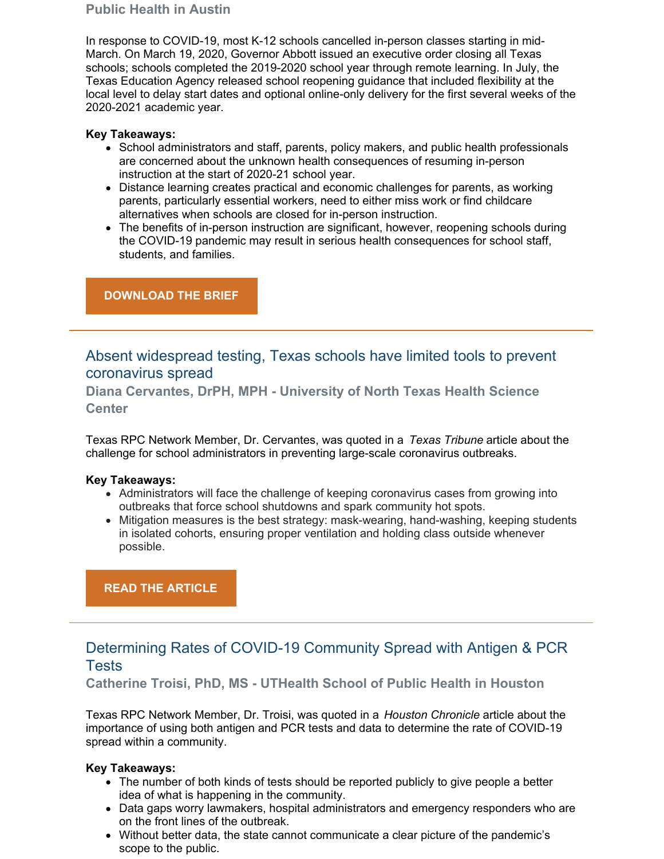## **Public Health in Austin**

In response to COVID-19, most K-12 schools cancelled in-person classes starting in mid-March. On March 19, 2020, Governor Abbott issued an executive order closing all Texas schools; schools completed the 2019-2020 school year through remote learning. In July, the Texas Education Agency released school reopening guidance that included flexibility at the local level to delay start dates and optional online-only delivery for the first several weeks of the 2020-2021 academic year.

### **Key Takeaways:**

- School administrators and staff, parents, policy makers, and public health professionals are concerned about the unknown health consequences of resuming in-person instruction at the start of 2020-21 school year.
- Distance learning creates practical and economic challenges for parents, as working parents, particularly essential workers, need to either miss work or find childcare alternatives when schools are closed for in-person instruction.
- The benefits of in-person instruction are significant, however, reopening schools during the COVID-19 pandemic may result in serious health consequences for school staff, students, and families.

## **[DOWNLOAD](https://sph.uth.edu/research/centers/dell/legislative-initiatives/Reopening Schools During COVID19 8-20-2020.pdf) THE BRIEF**

Absent widespread testing, Texas schools have limited tools to prevent coronavirus spread

**Diana Cervantes, DrPH, MPH - University of North Texas Health Science Center**

Texas RPC Network Member, Dr. Cervantes, was quoted in a *Texas Tribune* article about the challenge for school administrators in preventing large-scale coronavirus outbreaks.

#### **Key Takeaways:**

- Administrators will face the challenge of keeping coronavirus cases from growing into outbreaks that force school shutdowns and spark community hot spots.
- Mitigation measures is the best strategy: mask-wearing, hand-washing, keeping students in isolated cohorts, ensuring proper ventilation and holding class outside whenever possible.

## **READ THE [ARTICLE](https://www.texastribune.org/2020/09/02/texas-schools-coronavirus-tests/)**

# Determining Rates of COVID-19 Community Spread with Antigen & PCR Tests

**Catherine Troisi, PhD, MS - UTHealth School of Public Health in Houston**

Texas RPC Network Member, Dr. Troisi, was quoted in a *Houston Chronicle* article about the importance of using both antigen and PCR tests and data to determine the rate of COVID-19 spread within a community.

## **Key Takeaways:**

- The number of both kinds of tests should be reported publicly to give people a better idea of what is happening in the community.
- Data gaps worry lawmakers, hospital administrators and emergency responders who are on the front lines of the outbreak.
- Without better data, the state cannot communicate a clear picture of the pandemic's scope to the public.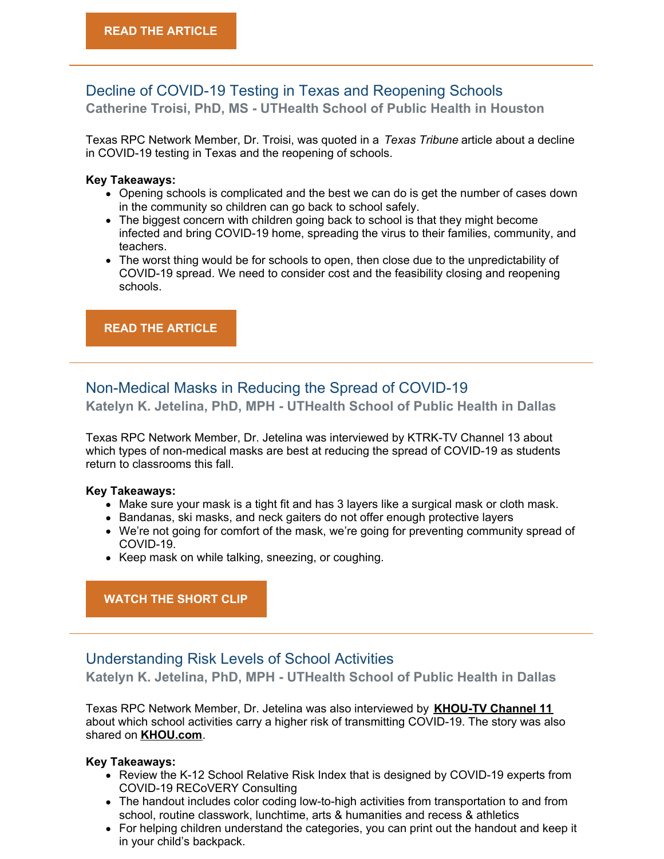## Decline of COVID-19 Testing in Texas and Reopening Schools **Catherine Troisi, PhD, MS - UTHealth School of Public Health in Houston**

Texas RPC Network Member, Dr. Troisi, was quoted in a *Texas Tribune* article about a decline in COVID-19 testing in Texas and the reopening of schools.

#### **Key Takeaways:**

- Opening schools is complicated and the best we can do is get the number of cases down in the community so children can go back to school safely.
- The biggest concern with children going back to school is that they might become infected and bring COVID-19 home, spreading the virus to their families, community, and teachers.
- The worst thing would be for schools to open, then close due to the unpredictability of COVID-19 spread. We need to consider cost and the feasibility closing and reopening schools.

#### **READ THE [ARTICLE](https://www.texastribune.org/2020/08/10/coronavirus-testing-texas/?utm_source=Texas+Tribune+Newsletters&utm_campaign=3cdee12ea5-trib-newsletters-the-brief&utm_medium=email&utm_term=0_d9a68d8efc-3cdee12ea5-101176421&mc_cid=3cdee12ea5&mc_eid=7030a59d1c)**

# Non-Medical Masks in Reducing the Spread of COVID-19

**Katelyn K. Jetelina, PhD, MPH - UTHealth School of Public Health in Dallas**

Texas RPC Network Member, Dr. Jetelina was interviewed by KTRK-TV Channel 13 about which types of non-medical masks are best at reducing the spread of COVID-19 as students return to classrooms this fall.

#### **Key Takeaways:**

- Make sure your mask is a tight fit and has 3 layers like a surgical mask or cloth mask.
- Bandanas, ski masks, and neck gaiters do not offer enough protective layers
- We're not going for comfort of the mask, we're going for preventing community spread of COVID-19.
- Keep mask on while talking, sneezing, or coughing.

**[WATCH](https://www.iqmediacorp.com/ClipPlayer?ClipID=92d8b626-f85e-4481-8049-2b4a50da670f&TE=%7B0%7D) THE SHORT CLIP**

## Understanding Risk Levels of School Activities

**Katelyn K. Jetelina, PhD, MPH - UTHealth School of Public Health in Dallas**

Texas RPC Network Member, Dr. Jetelina was also interviewed by **[KHOU-TV](http://r20.rs6.net/tn.jsp?f=001DPyc8Pvyfo0a9IY19CR7vp9Sn_BQwwUja1D1xLZsgRZshAKx7KPyAtm961QVUjfWWWmzcRxbDxMLsb4wmz7fDC6y3fh7OEv7fAL293faSSzF6-s0eP1onT9u5tGYOBPWEJeWnnBCOutG1xX7KhDr7cZKo9kM5GmVSR4VoAJV4gtXpgwDbymS1MPNgkPGvvQqlzV9gPfYdJIewpSZI9DqX9l3FdiNDEUBo_ZV8Y2WulvQyS2rb1LLi_h6BPL9VJgqqPqorZ7SyVxsKCBLUWSFOc_79EnHgpJjwgfV2ibuKVnNkpLfBTaF6fKPeg2gSW2Dr-GKodSS9SeZ8Qj_mkFjxcn4YyJ1ZQ5LKKjkX37b6qDQTVv9R2muhAj1S2jfHftNn0xsmS4jjawOkVSor9LplfHW3S7RbZi363Mxx36oTQwqamyV3PyOeTJSZPddfzf9CLAaEclDmdYRjUXIlSOI5g9Tf8K5nrt__8IkLwKaTtA-6-G-oQl-6XGNhkM4Bir6jv-I7ldoOJuiS01XdBmkG6I6RFHyT8W6Bpy6wZvN02hQr0V0yfTrWc0dJDoK8NDpK9WJZJC3ydRRZOriyTHHcmKRhTgbYX5vFg6az_dU4E8jL8ASXyoJHytewrIx5B8beLaLOlP9YrPHGHDZq3HyXG0HsTghhwxi0gVQng0PMV7AktfW-00msEXn7TUgwP8hxUMpddp29gIdjxUEv_niKK1hXwtqZatrsusdOKe7SnSqa8KKRjVxn_FVrWbIAcomyViIaSawntaJVcMVIZkTAATp6WkjI6R3YyOtW5HFznXHEknQYKF2a1nHdHwqlt38ERTTKNaLn-KxnpwRLbY2cDJEBcyCcnkcgnBzhNjL1K2GEaQVvExZ2nPvzenwUXkPLKuthBrUcJC_bz1Jl4CP6BnTzRhINrlY9_JKwwd8fOztHRTIW7SELjzkOb9naEuM9MLdPIiGlCVupezJ0XIv-DtMAVgfMPCzniNACto9cHaWJede1a-fZpe-SA7Vj27AXbhL_UAn49zeTv8MDwswfH4YtZlnpqFL&c=T3XEXp6tKZfogUq28C_iuiEEodkDfKPXJuaj3oe-KOjWIDwVzcTlEw==&ch=8x49FNAL0XSzMbvstp0dmmDyFH1dMcIqVpy2mnVrP_EdLr3MNW63Ew==) Channel 11** about which school activities carry a higher risk of transmitting COVID-19. The story was also shared on **[KHOU.com](http://r20.rs6.net/tn.jsp?f=001DPyc8Pvyfo0a9IY19CR7vp9Sn_BQwwUja1D1xLZsgRZshAKx7KPyAtm961QVUjfW5sTUUKRm_-kRJpjoLq0NBUhqPpegUburBmHmwn8YHon8K3uXv-21Rcy8qRxux4EDtw7RlqezzBwuaPReNf-poLHdMu17tjRbQP3mbzf73FgWQKKmEzb2w9nowyqWJOZcPHOYFKOxT1Gu01RHCWy5cMGns0W61P2h8dHhvYwIf1KWB5BF3Vj45A-uJMswwi5pxUfpm_WubKb6W_Ncv4HwD7g3zHfRsltzO2qi2IOeVcA01ai1mimRjq99ozxzu8wJFvdyLCQkSUWmB7T-0ic3zOJYjDabjzHZezF1uKLYccrKMkStmGm3n8nqfWPI-3MorUzMwf_mbNH02kRLeW3Ekpr1RKN3fLt9DiZHJqWvpGdfGF1TSqpmdw5s-No59OnIg6APPLG1vlMy2KzDVgJKen0Gz45G9N9Ed_YSsCjiSjg4naCqhx5hgbcZ2dOXdcOO8P3HBNOguIAENOmKnz-F2a9hFds4RaQH6Y1TmiMf0aQkLNcFgB-hqVIrSENGQotp_QG6bfOzl-J358G3aasJl-dRPxRVaa4KAzUXEGw1F3Mcz9WXXNoYSjBzsitd11MBCMoUap8Ll0GA8pnKCIGNBglFJNMeTC3jmVGyVeGq4QiRPpr9y-cZvwaSvqsGp0zfPz7k6cAwBeK7VGrRhY7uo61A3LX8-EwAqUQfop-xu22RELfb5j4Trv8LcXU0lxlOSRvNXE9EsUvgZ87Xmq5WDEB7OySmGWGv2UcbiQ7cOwLp49BMQDT-pJoCwvqyVBd0WzRNBBvmJFlFd2GKHWm6eTurBvOFqDyGUuiF_wGuyT1SjcN7eBolb5_lqjKXcsXauOEf4Jki_IaWYchFwyDpNDEJFJJjLkKdhyMsEnBwBv4cUIQ4x0Ud5DkrE_UMQKYNd0RFBFRxx4sH6WaBPQvaEAc2rk24DHGvy9U5rY2gnGT4w2ewq2xhcHGQAsArfh5vO__1Vf_N__FHDmCZ_-rLZ4q5nQ2ivGDEKFQikKmUtOWvC0CkB-ULcxTEe99W3y3RivvjUuNO-lcVzfflQ7-uITj3Im65nDuuuwkYHoSUXK25mMsZDwXN-IVX1GGx-87kvq_46f6MNMDVn6KR0sYqp9oayDON_KYeuc1yxI6x2UAizVBP82jYQSqINEIsLWEvOgkm-5oh_mw=&c=T3XEXp6tKZfogUq28C_iuiEEodkDfKPXJuaj3oe-KOjWIDwVzcTlEw==&ch=8x49FNAL0XSzMbvstp0dmmDyFH1dMcIqVpy2mnVrP_EdLr3MNW63Ew==)**.

#### **Key Takeaways:**

- Review the K-12 School Relative Risk Index that is designed by COVID-19 experts from COVID-19 RECoVERY Consulting
- The handout includes color coding low-to-high activities from transportation to and from school, routine classwork, lunchtime, arts & humanities and recess & athletics
- For helping children understand the categories, you can print out the handout and keep it in your child's backpack.